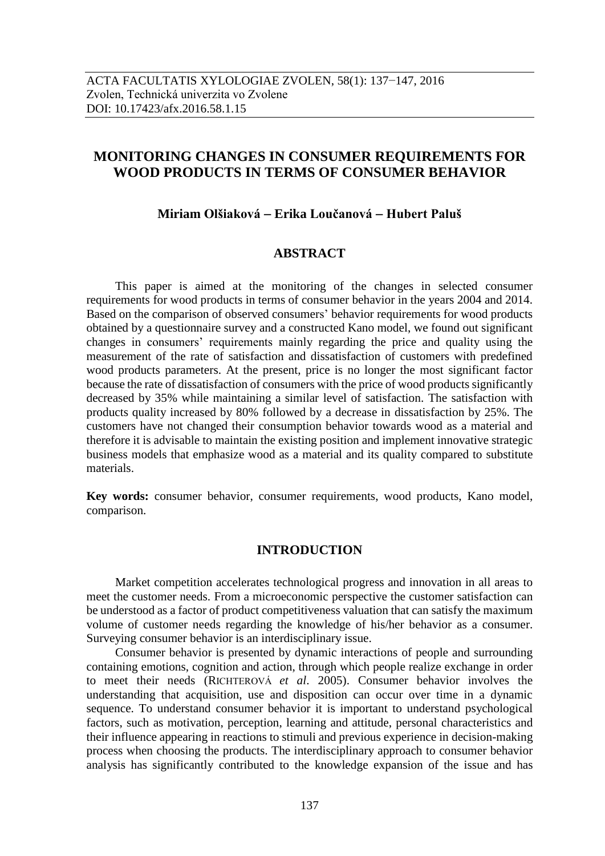# **MONITORING CHANGES IN CONSUMER REQUIREMENTS FOR WOOD PRODUCTS IN TERMS OF CONSUMER BEHAVIOR**

# **Miriam Olšiaková Erika Loučanová Hubert Paluš**

# **ABSTRACT**

This paper is aimed at the monitoring of the changes in selected consumer requirements for wood products in terms of consumer behavior in the years 2004 and 2014. Based on the comparison of observed consumers' behavior requirements for wood products obtained by a questionnaire survey and a constructed Kano model, we found out significant changes in consumers' requirements mainly regarding the price and quality using the measurement of the rate of satisfaction and dissatisfaction of customers with predefined wood products parameters. At the present, price is no longer the most significant factor because the rate of dissatisfaction of consumers with the price of wood products significantly decreased by 35% while maintaining a similar level of satisfaction. The satisfaction with products quality increased by 80% followed by a decrease in dissatisfaction by 25%. The customers have not changed their consumption behavior towards wood as a material and therefore it is advisable to maintain the existing position and implement innovative strategic business models that emphasize wood as a material and its quality compared to substitute materials.

**Key words:** consumer behavior, consumer requirements, wood products, Kano model, comparison.

# **INTRODUCTION**

Market competition accelerates technological progress and innovation in all areas to meet the customer needs. From a microeconomic perspective the customer satisfaction can be understood as a factor of product competitiveness valuation that can satisfy the maximum volume of customer needs regarding the knowledge of his/her behavior as a consumer. Surveying consumer behavior is an interdisciplinary issue.

Consumer behavior is presented by dynamic interactions of people and surrounding containing emotions, cognition and action, through which people realize exchange in order to meet their needs (RICHTEROVÁ *et al*. 2005). Consumer behavior involves the understanding that acquisition, use and disposition can occur over time in a dynamic sequence. To understand consumer behavior it is important to understand psychological factors, such as motivation, perception, learning and attitude, personal characteristics and their influence appearing in reactions to stimuli and previous experience in decision-making process when choosing the products. The interdisciplinary approach to consumer behavior analysis has significantly contributed to the knowledge expansion of the issue and has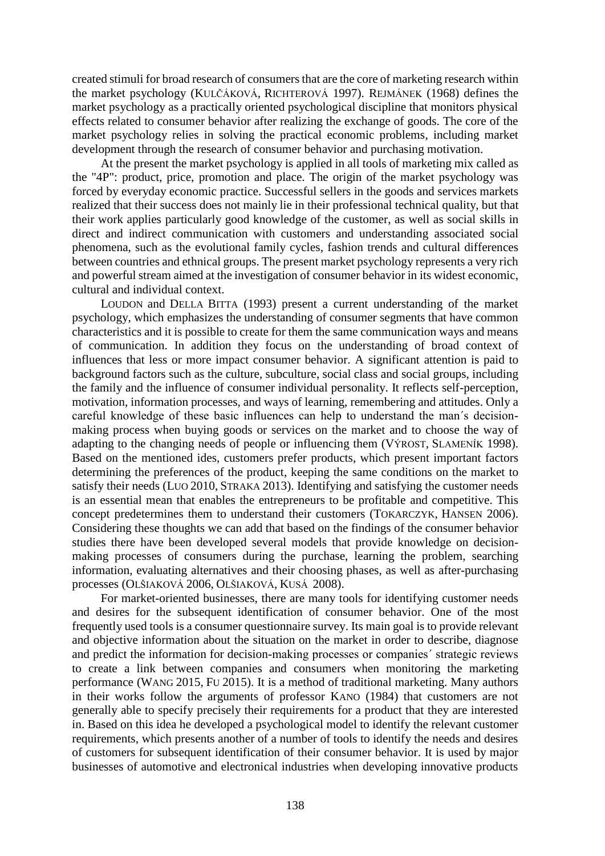created stimuli for broad research of consumersthat are the core of marketing research within the market psychology (KULČÁKOVÁ, RICHTEROVÁ 1997). REJMÁNEK (1968) defines the market psychology as a practically oriented psychological discipline that monitors physical effects related to consumer behavior after realizing the exchange of goods. The core of the market psychology relies in solving the practical economic problems, including market development through the research of consumer behavior and purchasing motivation.

At the present the market psychology is applied in all tools of marketing mix called as the "4P": product, price, promotion and place. The origin of the market psychology was forced by everyday economic practice. Successful sellers in the goods and services markets realized that their success does not mainly lie in their professional technical quality, but that their work applies particularly good knowledge of the customer, as well as social skills in direct and indirect communication with customers and understanding associated social phenomena, such as the evolutional family cycles, fashion trends and cultural differences between countries and ethnical groups. The present market psychology represents a very rich and powerful stream aimed at the investigation of consumer behavior in its widest economic, cultural and individual context.

LOUDON and DELLA BITTA (1993) present a current understanding of the market psychology, which emphasizes the understanding of consumer segments that have common characteristics and it is possible to create for them the same communication ways and means of communication. In addition they focus on the understanding of broad context of influences that less or more impact consumer behavior. A significant attention is paid to background factors such as the culture, subculture, social class and social groups, including the family and the influence of consumer individual personality. It reflects self-perception, motivation, information processes, and ways of learning, remembering and attitudes. Only a careful knowledge of these basic influences can help to understand the man´s decisionmaking process when buying goods or services on the market and to choose the way of adapting to the changing needs of people or influencing them (VÝROST, SLAMENÍK 1998). Based on the mentioned ides, customers prefer products, which present important factors determining the preferences of the product, keeping the same conditions on the market to satisfy their needs (LUO 2010, STRAKA 2013). Identifying and satisfying the customer needs is an essential mean that enables the entrepreneurs to be profitable and competitive. This concept predetermines them to understand their customers (TOKARCZYK, HANSEN 2006). Considering these thoughts we can add that based on the findings of the consumer behavior studies there have been developed several models that provide knowledge on decisionmaking processes of consumers during the purchase, learning the problem, searching information, evaluating alternatives and their choosing phases, as well as after-purchasing processes (OLŠIAKOVÁ 2006, OLŠIAKOVÁ, KUSÁ 2008).

For market-oriented businesses, there are many tools for identifying customer needs and desires for the subsequent identification of consumer behavior. One of the most frequently used tools is a consumer questionnaire survey. Its main goal is to provide relevant and objective information about the situation on the market in order to describe, diagnose and predict the information for decision-making processes or companies´ strategic reviews to create a link between companies and consumers when monitoring the marketing performance (WANG 2015, FU 2015). It is a method of traditional marketing. Many authors in their works follow the arguments of professor KANO (1984) that customers are not generally able to specify precisely their requirements for a product that they are interested in. Based on this idea he developed a psychological model to identify the relevant customer requirements, which presents another of a number of tools to identify the needs and desires of customers for subsequent identification of their consumer behavior. It is used by major businesses of automotive and electronical industries when developing innovative products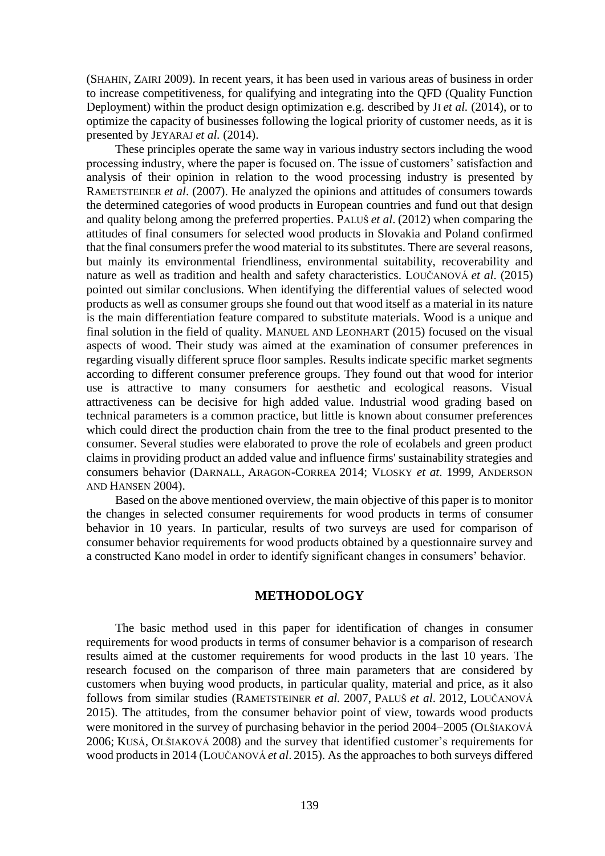(SHAHIN, ZAIRI 2009). In recent years, it has been used in various areas of business in order to increase competitiveness, for qualifying and integrating into the QFD (Quality Function Deployment) within the product design optimization e.g. described by JI *et al.* (2014), or to optimize the capacity of businesses following the logical priority of customer needs, as it is presented by JEYARAJ *et al.* (2014).

These principles operate the same way in various industry sectors including the wood processing industry, where the paper is focused on. The issue of customers' satisfaction and analysis of their opinion in relation to the wood processing industry is presented by RAMETSTEINER *et al*. (2007). He analyzed the opinions and attitudes of consumers towards the determined categories of wood products in European countries and fund out that design and quality belong among the preferred properties. PALUŠ *et al*. (2012) when comparing the attitudes of final consumers for selected wood products in Slovakia and Poland confirmed that the final consumers prefer the wood material to its substitutes. There are several reasons, but mainly its environmental friendliness, environmental suitability, recoverability and nature as well as tradition and health and safety characteristics. LOUČANOVÁ *et al*. (2015) pointed out similar conclusions. When identifying the differential values of selected wood products as well as consumer groups she found out that wood itself as a material in its nature is the main differentiation feature compared to substitute materials. Wood is a unique and final solution in the field of quality. MANUEL AND L[EONHART](http://apps.webofknowledge.com/OneClickSearch.do?product=UA&search_mode=OneClickSearch&excludeEventConfig=ExcludeIfFromFullRecPage&SID=W2lONdGCJHkntUYPCfA&field=AU&value=Leonhart,%20R) (2015) focused on the visual aspects of wood. Their study was aimed at the examination of consumer preferences in regarding visually different spruce floor samples. Results indicate specific market segments according to different consumer preference groups. They found out that wood for interior use is attractive to many consumers for aesthetic and ecological reasons. Visual attractiveness can be decisive for high added value. Industrial wood grading based on technical parameters is a common practice, but little is known about consumer preferences which could direct the production chain from the tree to the final product presented to the consumer. Several studies were elaborated to prove the role of ecolabels and green product claims in providing product an added value and influence firms' sustainability strategies and consumers behavior (D[ARNALL](http://apps.webofknowledge.com/OneClickSearch.do?product=UA&search_mode=OneClickSearch&SID=W2lONdGCJHkntUYPCfA&field=AU&value=Darnall,%20N&ut=4093356&pos=%7B2%7D&excludeEventConfig=ExcludeIfFromFullRecPage), A[RAGON](http://apps.webofknowledge.com/OneClickSearch.do?product=UA&search_mode=OneClickSearch&SID=W2lONdGCJHkntUYPCfA&field=AU&value=Aragon-Correa,%20JA&ut=606284&pos=%7B2%7D&excludeEventConfig=ExcludeIfFromFullRecPage)-CORREA 2014; VLOSKY *et at*. 1999, ANDERSON AND HANSEN 2004).

Based on the above mentioned overview, the main objective of this paper is to monitor the changes in selected consumer requirements for wood products in terms of consumer behavior in 10 years. In particular, results of two surveys are used for comparison of consumer behavior requirements for wood products obtained by a questionnaire survey and a constructed Kano model in order to identify significant changes in consumers' behavior.

# **METHODOLOGY**

The basic method used in this paper for identification of changes in consumer requirements for wood products in terms of consumer behavior is a comparison of research results aimed at the customer requirements for wood products in the last 10 years. The research focused on the comparison of three main parameters that are considered by customers when buying wood products, in particular quality, material and price, as it also follows from similar studies (RAMETSTEINER *et al.* 2007, PALUŠ *et al*. 2012, LOUČANOVÁ 2015). The attitudes, from the consumer behavior point of view, towards wood products were monitored in the survey of purchasing behavior in the period 2004–2005 (OLŠIAKOVÁ 2006; KUSÁ, OLŠIAKOVÁ 2008) and the survey that identified customer's requirements for wood products in 2014 (LOUČANOVÁ *et al*. 2015). As the approaches to both surveys differed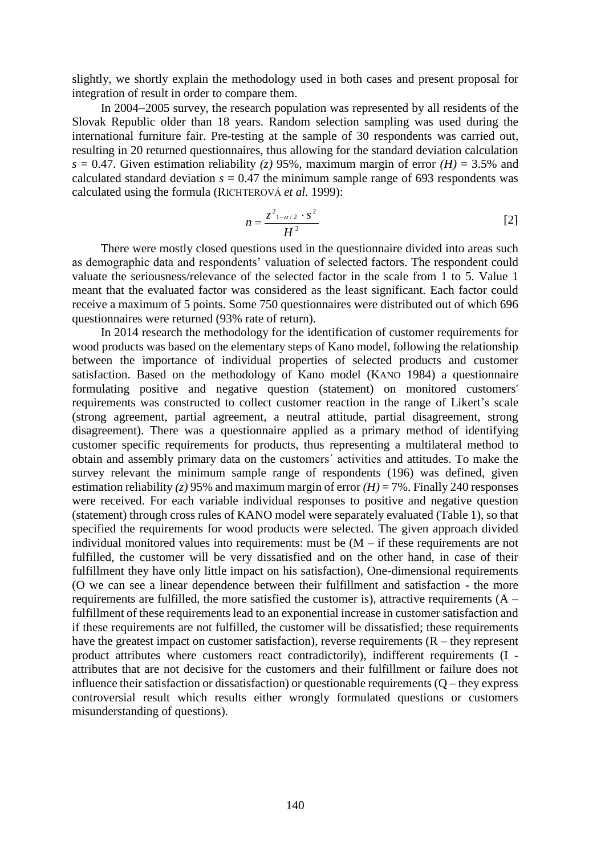slightly, we shortly explain the methodology used in both cases and present proposal for integration of result in order to compare them.

In 2004–2005 survey, the research population was represented by all residents of the Slovak Republic older than 18 years. Random selection sampling was used during the international furniture fair. Pre-testing at the sample of 30 respondents was carried out, resulting in 20 returned questionnaires, thus allowing for the standard deviation calculation  $s = 0.47$ . Given estimation reliability (*z*) 95%, maximum margin of error *(H)* = 3.5% and calculated standard deviation  $s = 0.47$  the minimum sample range of 693 respondents was calculated using the formula (RICHTEROVÁ *et al*. 1999):

$$
n = \frac{z^2_{1-\alpha/2} \cdot s^2}{H^2}
$$
 [2]

There were mostly closed questions used in the questionnaire divided into areas such as demographic data and respondents' valuation of selected factors. The respondent could valuate the seriousness/relevance of the selected factor in the scale from 1 to 5. Value 1 meant that the evaluated factor was considered as the least significant. Each factor could receive a maximum of 5 points. Some 750 questionnaires were distributed out of which 696 questionnaires were returned (93% rate of return).

In 2014 research the methodology for the identification of customer requirements for wood products was based on the elementary steps of Kano model, following the relationship between the importance of individual properties of selected products and customer satisfaction. Based on the methodology of Kano model (KANO 1984) a questionnaire formulating positive and negative question (statement) on monitored customers' requirements was constructed to collect customer reaction in the range of Likert's scale (strong agreement, partial agreement, a neutral attitude, partial disagreement, strong disagreement). There was a questionnaire applied as a primary method of identifying customer specific requirements for products, thus representing a multilateral method to obtain and assembly primary data on the customers´ activities and attitudes. To make the survey relevant the minimum sample range of respondents (196) was defined, given estimation reliability (*z*) 95% and maximum margin of error  $(H) = 7$ %. Finally 240 responses were received. For each variable individual responses to positive and negative question (statement) through cross rules of KANO model were separately evaluated (Table 1), so that specified the requirements for wood products were selected. The given approach divided individual monitored values into requirements: must be  $(M - if$  these requirements are not fulfilled, the customer will be very dissatisfied and on the other hand, in case of their fulfillment they have only little impact on his satisfaction), One-dimensional requirements (O we can see a linear dependence between their fulfillment and satisfaction - the more requirements are fulfilled, the more satisfied the customer is), attractive requirements  $(A$ fulfillment of these requirements lead to an exponential increase in customer satisfaction and if these requirements are not fulfilled, the customer will be dissatisfied; these requirements have the greatest impact on customer satisfaction), reverse requirements  $(R -$  they represent product attributes where customers react contradictorily), indifferent requirements (I attributes that are not decisive for the customers and their fulfillment or failure does not influence their satisfaction or dissatisfaction) or questionable requirements  $(Q -$  they express controversial result which results either wrongly formulated questions or customers misunderstanding of questions).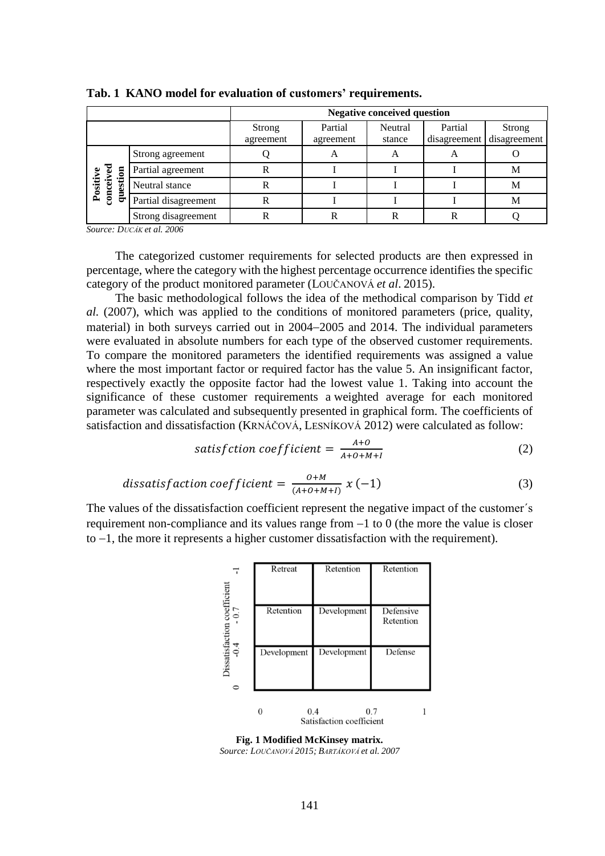|                                         |                      | <b>Negative conceived question</b> |                      |                   |                         |                               |  |  |
|-----------------------------------------|----------------------|------------------------------------|----------------------|-------------------|-------------------------|-------------------------------|--|--|
|                                         |                      | <b>Strong</b><br>agreement         | Partial<br>agreement | Neutral<br>stance | Partial<br>disagreement | <b>Strong</b><br>disagreement |  |  |
|                                         | Strong agreement     |                                    | A                    | A                 | Α                       |                               |  |  |
| conceived<br>ទ<br>Positive<br>esti<br>믕 | Partial agreement    |                                    |                      |                   |                         | M                             |  |  |
|                                         | Neutral stance       |                                    |                      |                   |                         | M                             |  |  |
|                                         | Partial disagreement |                                    |                      |                   |                         | M                             |  |  |
|                                         | Strong disagreement  |                                    |                      |                   |                         |                               |  |  |

**Tab. 1 KANO model for evaluation of customers' requirements.**

*Source: DUCÁK et al. 2006* 

The categorized customer requirements for selected products are then expressed in percentage, where the category with the highest percentage occurrence identifies the specific category of the product monitored parameter (LOUČANOVÁ *et al*. 2015).

The basic methodological follows the idea of the methodical comparison by Tidd *et al.* (2007), which was applied to the conditions of monitored parameters (price, quality, material) in both surveys carried out in 2004–2005 and 2014. The individual parameters were evaluated in absolute numbers for each type of the observed customer requirements. To compare the monitored parameters the identified requirements was assigned a value where the most important factor or required factor has the value 5. An insignificant factor, respectively exactly the opposite factor had the lowest value 1. Taking into account the significance of these customer requirements a weighted average for each monitored parameter was calculated and subsequently presented in graphical form. The coefficients of satisfaction and dissatisfaction (KRNÁČOVÁ, LESNÍKOVÁ 2012) were calculated as follow:

satisfition 
$$
coefficient = \frac{A+O}{A+O+M+I}
$$
 (2)

$$
dissatisfaction coefficient = \frac{o+M}{(A+O+M+I)} x (-1)
$$
 (3)

The values of the dissatisfaction coefficient represent the negative impact of the customer´s requirement non-compliance and its values range from  $-1$  to 0 (the more the value is closer to  $-1$ , the more it represents a higher customer dissatisfaction with the requirement).



**Fig. 1 Modified McKinsey matrix.** *Source: LOUČANOVÁ 2015; BARTÁKOVÁ et al. 2007*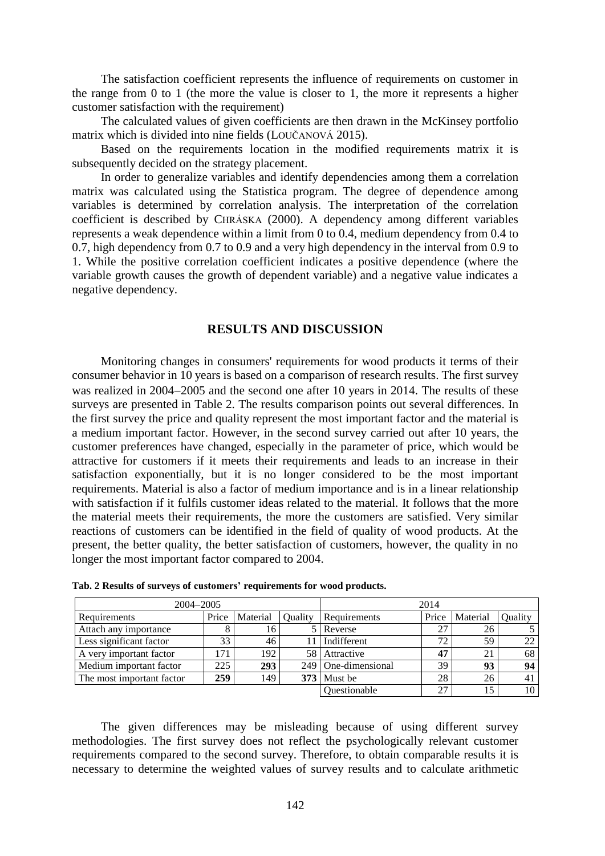The satisfaction coefficient represents the influence of requirements on customer in the range from 0 to 1 (the more the value is closer to 1, the more it represents a higher customer satisfaction with the requirement)

The calculated values of given coefficients are then drawn in the McKinsey portfolio matrix which is divided into nine fields (LOUČANOVÁ 2015).

Based on the requirements location in the modified requirements matrix it is subsequently decided on the strategy placement.

In order to generalize variables and identify dependencies among them a correlation matrix was calculated using the Statistica program. The degree of dependence among variables is determined by correlation analysis. The interpretation of the correlation coefficient is described by CHRÁSKA (2000). A dependency among different variables represents a weak dependence within a limit from 0 to 0.4, medium dependency from 0.4 to 0.7, high dependency from 0.7 to 0.9 and a very high dependency in the interval from 0.9 to 1. While the positive correlation coefficient indicates a positive dependence (where the variable growth causes the growth of dependent variable) and a negative value indicates a negative dependency.

# **RESULTS AND DISCUSSION**

Monitoring changes in consumers' requirements for wood products it terms of their consumer behavior in 10 years is based on a comparison of research results. The first survey was realized in 2004–2005 and the second one after 10 years in 2014. The results of these surveys are presented in Table 2. The results comparison points out several differences. In the first survey the price and quality represent the most important factor and the material is a medium important factor. However, in the second survey carried out after 10 years, the customer preferences have changed, especially in the parameter of price, which would be attractive for customers if it meets their requirements and leads to an increase in their satisfaction exponentially, but it is no longer considered to be the most important requirements. Material is also a factor of medium importance and is in a linear relationship with satisfaction if it fulfils customer ideas related to the material. It follows that the more the material meets their requirements, the more the customers are satisfied. Very similar reactions of customers can be identified in the field of quality of wood products. At the present, the better quality, the better satisfaction of customers, however, the quality in no longer the most important factor compared to 2004.

| 2004-2005                 | 2014  |          |                |                       |       |          |         |
|---------------------------|-------|----------|----------------|-----------------------|-------|----------|---------|
| Requirements              | Price | Material | <b>Duality</b> | Requirements          | Price | Material | Quality |
| Attach any importance     |       | 16.      |                | Reverse               | 27    | 26       |         |
| Less significant factor   | 33    | 46       | 11             | Indifferent           | 72    | 59       | 22      |
| A very important factor   | 171   | 192      | 58             | Attractive            | 47    | 21       | 68      |
| Medium important factor   | 225   | 293      |                | 249   One-dimensional | 39    | 93       | 94      |
| The most important factor | 259   | 149      |                | $373$ Must be         | 28    | 26       | 41      |
|                           |       |          |                | Questionable          | 27    |          | 10      |

| Tab. 2 Results of surveys of customers' requirements for wood products. |  |  |  |  |  |  |  |
|-------------------------------------------------------------------------|--|--|--|--|--|--|--|
|-------------------------------------------------------------------------|--|--|--|--|--|--|--|

The given differences may be misleading because of using different survey methodologies. The first survey does not reflect the psychologically relevant customer requirements compared to the second survey. Therefore, to obtain comparable results it is necessary to determine the weighted values of survey results and to calculate arithmetic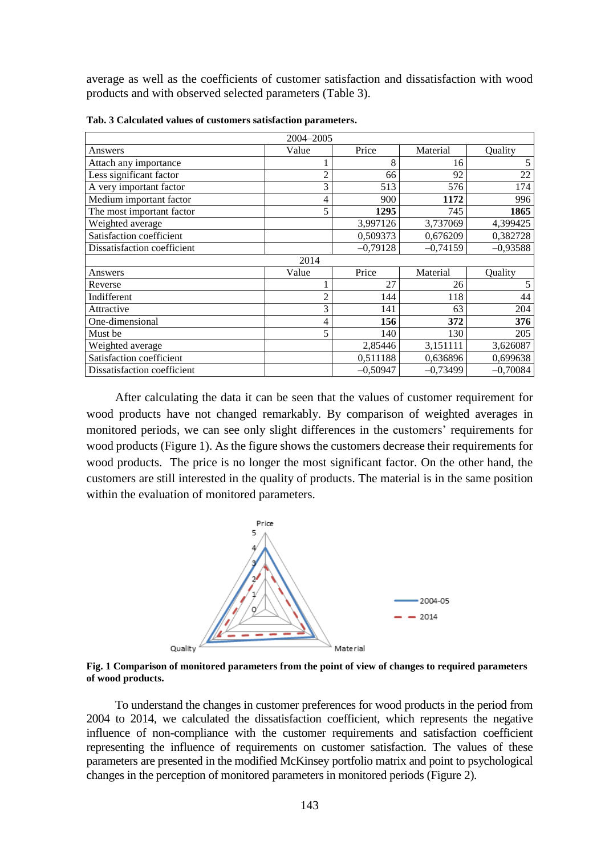average as well as the coefficients of customer satisfaction and dissatisfaction with wood products and with observed selected parameters (Table 3).

| 2004-2005                   |                |            |            |            |  |  |
|-----------------------------|----------------|------------|------------|------------|--|--|
| Answers                     | Value          | Price      | Material   | Quality    |  |  |
| Attach any importance       |                | 8          | 16         | 5          |  |  |
| Less significant factor     | $\overline{c}$ | 66         | 92         | 22         |  |  |
| A very important factor     | 3              | 513        | 576        | 174        |  |  |
| Medium important factor     | 4              | 900        | 1172       | 996        |  |  |
| The most important factor   | 5              | 1295       | 745        | 1865       |  |  |
| Weighted average            |                | 3,997126   | 3,737069   | 4,399425   |  |  |
| Satisfaction coefficient    |                | 0,509373   | 0,676209   | 0,382728   |  |  |
| Dissatisfaction coefficient |                | $-0,79128$ | $-0,74159$ | $-0,93588$ |  |  |
|                             | 2014           |            |            |            |  |  |
| Answers                     | Value          | Price      | Material   | Quality    |  |  |
| Reverse                     |                | 27         | 26         | 5          |  |  |
| Indifferent                 | 2              | 144        | 118        | 44         |  |  |
| Attractive                  | 3              | 141        | 63         | 204        |  |  |
| One-dimensional             | 4              | 156        | 372        | 376        |  |  |
| Must be                     | 5              | 140        | 130        | 205        |  |  |
| Weighted average            |                | 2,85446    | 3,151111   | 3,626087   |  |  |
| Satisfaction coefficient    |                | 0,511188   | 0,636896   | 0,699638   |  |  |
| Dissatisfaction coefficient |                | $-0,50947$ | $-0,73499$ | $-0,70084$ |  |  |

**Tab. 3 Calculated values of customers satisfaction parameters.**

After calculating the data it can be seen that the values of customer requirement for wood products have not changed remarkably. By comparison of weighted averages in monitored periods, we can see only slight differences in the customers' requirements for wood products (Figure 1). As the figure shows the customers decrease their requirements for wood products. The price is no longer the most significant factor. On the other hand, the customers are still interested in the quality of products. The material is in the same position within the evaluation of monitored parameters.



**Fig. 1 Comparison of monitored parameters from the point of view of changes to required parameters of wood products.**

To understand the changes in customer preferences for wood products in the period from 2004 to 2014, we calculated the dissatisfaction coefficient, which represents the negative influence of non-compliance with the customer requirements and satisfaction coefficient representing the influence of requirements on customer satisfaction. The values of these parameters are presented in the modified McKinsey portfolio matrix and point to psychological changes in the perception of monitored parameters in monitored periods (Figure 2).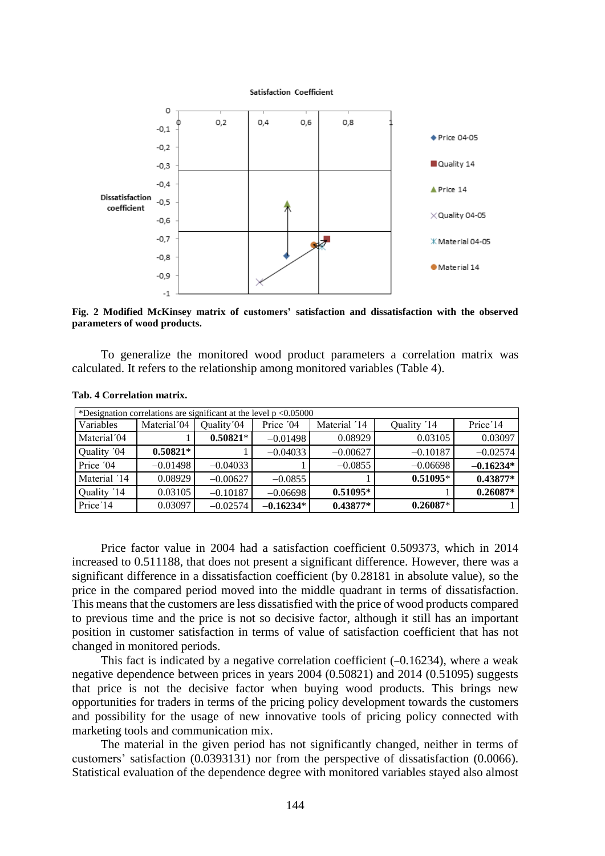

**Fig. 2 Modified McKinsey matrix of customers' satisfaction and dissatisfaction with the observed parameters of wood products.**

To generalize the monitored wood product parameters a correlation matrix was calculated. It refers to the relationship among monitored variables (Table 4).

| *Designation correlations are significant at the level $p < 0.05000$ |                         |            |             |              |             |                       |  |  |
|----------------------------------------------------------------------|-------------------------|------------|-------------|--------------|-------------|-----------------------|--|--|
| Variables                                                            | Material <sup>'04</sup> | Quality'04 | Price '04   | Material '14 | Quality '14 | Price <sup>'</sup> 14 |  |  |
| Material <sup>'04</sup>                                              |                         | $0.50821*$ | $-0.01498$  | 0.08929      | 0.03105     | 0.03097               |  |  |
| Quality '04                                                          | $0.50821*$              |            | $-0.04033$  | $-0.00627$   | $-0.10187$  | $-0.02574$            |  |  |
| Price '04                                                            | $-0.01498$              | $-0.04033$ |             | $-0.0855$    | $-0.06698$  | $-0.16234*$           |  |  |
| Material '14                                                         | 0.08929                 | $-0.00627$ | $-0.0855$   |              | $0.51095*$  | $0.43877*$            |  |  |
| Quality '14                                                          | 0.03105                 | $-0.10187$ | $-0.06698$  | $0.51095*$   |             | $0.26087*$            |  |  |
| Price <sup>'</sup> 14                                                | 0.03097                 | $-0.02574$ | $-0.16234*$ | $0.43877*$   | $0.26087*$  |                       |  |  |

#### **Tab. 4 Correlation matrix.**

Price factor value in 2004 had a satisfaction coefficient 0.509373, which in 2014 increased to 0.511188, that does not present a significant difference. However, there was a significant difference in a dissatisfaction coefficient (by 0.28181 in absolute value), so the price in the compared period moved into the middle quadrant in terms of dissatisfaction. This means that the customers are less dissatisfied with the price of wood products compared to previous time and the price is not so decisive factor, although it still has an important position in customer satisfaction in terms of value of satisfaction coefficient that has not changed in monitored periods.

This fact is indicated by a negative correlation coefficient  $(-0.16234)$ , where a weak negative dependence between prices in years 2004 (0.50821) and 2014 (0.51095) suggests that price is not the decisive factor when buying wood products. This brings new opportunities for traders in terms of the pricing policy development towards the customers and possibility for the usage of new innovative tools of pricing policy connected with marketing tools and communication mix.

The material in the given period has not significantly changed, neither in terms of customers' satisfaction (0.0393131) nor from the perspective of dissatisfaction (0.0066). Statistical evaluation of the dependence degree with monitored variables stayed also almost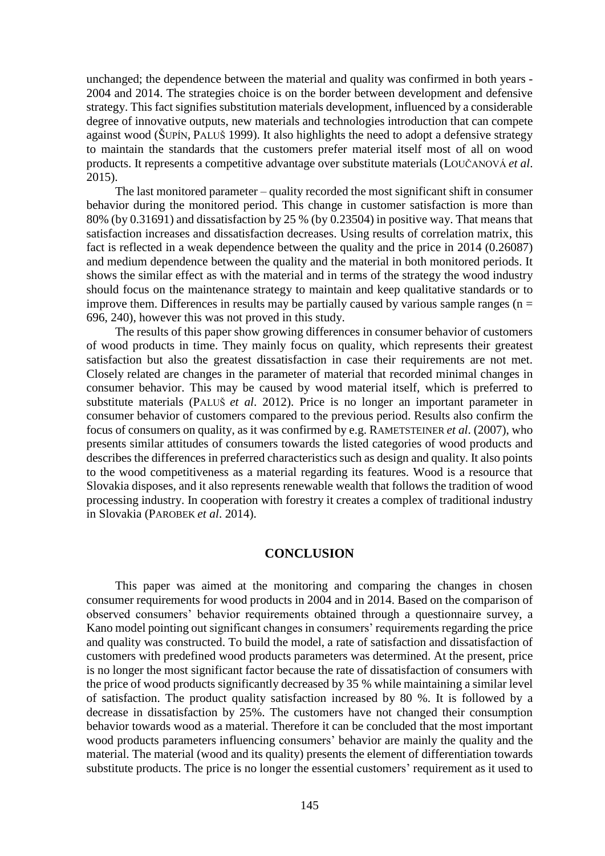unchanged; the dependence between the material and quality was confirmed in both years - 2004 and 2014. The strategies choice is on the border between development and defensive strategy. This fact signifies substitution materials development, influenced by a considerable degree of innovative outputs, new materials and technologies introduction that can compete against wood (ŠUPÍN, PALUŠ 1999). It also highlights the need to adopt a defensive strategy to maintain the standards that the customers prefer material itself most of all on wood products. It represents a competitive advantage over substitute materials (LOUČANOVÁ *et al*. 2015).

The last monitored parameter – quality recorded the most significant shift in consumer behavior during the monitored period. This change in customer satisfaction is more than 80% (by 0.31691) and dissatisfaction by 25 % (by 0.23504) in positive way. That means that satisfaction increases and dissatisfaction decreases. Using results of correlation matrix, this fact is reflected in a weak dependence between the quality and the price in 2014 (0.26087) and medium dependence between the quality and the material in both monitored periods. It shows the similar effect as with the material and in terms of the strategy the wood industry should focus on the maintenance strategy to maintain and keep qualitative standards or to improve them. Differences in results may be partially caused by various sample ranges ( $n =$ 696, 240), however this was not proved in this study.

The results of this paper show growing differences in consumer behavior of customers of wood products in time. They mainly focus on quality, which represents their greatest satisfaction but also the greatest dissatisfaction in case their requirements are not met. Closely related are changes in the parameter of material that recorded minimal changes in consumer behavior. This may be caused by wood material itself, which is preferred to substitute materials (PALUŠ *et al*. 2012). Price is no longer an important parameter in consumer behavior of customers compared to the previous period. Results also confirm the focus of consumers on quality, as it was confirmed by e.g. RAMETSTEINER *et al*. (2007), who presents similar attitudes of consumers towards the listed categories of wood products and describes the differences in preferred characteristics such as design and quality. It also points to the wood competitiveness as a material regarding its features. Wood is a resource that Slovakia disposes, and it also represents renewable wealth that follows the tradition of wood processing industry. In cooperation with forestry it creates a complex of traditional industry in Slovakia (PAROBEK *et al*. 2014).

### **CONCLUSION**

This paper was aimed at the monitoring and comparing the changes in chosen consumer requirements for wood products in 2004 and in 2014. Based on the comparison of observed consumers' behavior requirements obtained through a questionnaire survey, a Kano model pointing out significant changes in consumers' requirements regarding the price and quality was constructed. To build the model, a rate of satisfaction and dissatisfaction of customers with predefined wood products parameters was determined. At the present, price is no longer the most significant factor because the rate of dissatisfaction of consumers with the price of wood products significantly decreased by 35 % while maintaining a similar level of satisfaction. The product quality satisfaction increased by 80 %. It is followed by a decrease in dissatisfaction by 25%. The customers have not changed their consumption behavior towards wood as a material. Therefore it can be concluded that the most important wood products parameters influencing consumers' behavior are mainly the quality and the material. The material (wood and its quality) presents the element of differentiation towards substitute products. The price is no longer the essential customers' requirement as it used to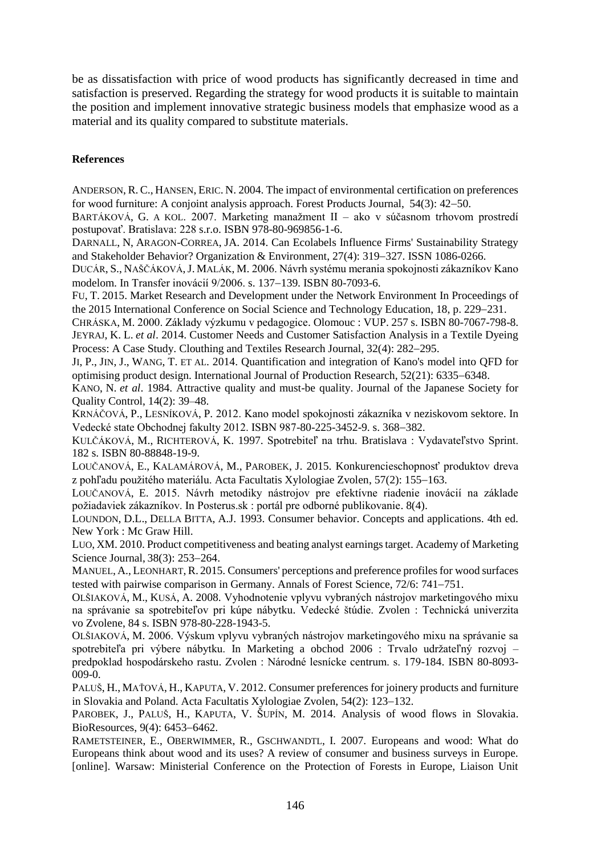be as dissatisfaction with price of wood products has significantly decreased in time and satisfaction is preserved. Regarding the strategy for wood products it is suitable to maintain the position and implement innovative strategic business models that emphasize wood as a material and its quality compared to substitute materials.

# **References**

ANDERSON, R. C., HANSEN, ERIC. N. 2004. The impact of environmental certification on preferences for wood furniture: A conjoint analysis approach. Forest Products Journal, 54(3): 42–50.

BARTÁKOVÁ, G. A KOL. 2007. Marketing manažment II – ako v súčasnom trhovom prostredí postupovať. Bratislava: 228 s.r.o. ISBN 978-80-969856-1-6.

D[ARNALL](http://apps.webofknowledge.com/OneClickSearch.do?product=UA&search_mode=OneClickSearch&SID=W2lONdGCJHkntUYPCfA&field=AU&value=Darnall,%20N&ut=4093356&pos=%7B2%7D&excludeEventConfig=ExcludeIfFromFullRecPage), N, A[RAGON](http://apps.webofknowledge.com/OneClickSearch.do?product=UA&search_mode=OneClickSearch&SID=W2lONdGCJHkntUYPCfA&field=AU&value=Aragon-Correa,%20JA&ut=606284&pos=%7B2%7D&excludeEventConfig=ExcludeIfFromFullRecPage)-CORREA, JA. 2014. Can Ecolabels Influence Firms' Sustainability Strategy and Stakeholder Behavior? Organization & Environment,  $27(4)$ : 319–327. ISSN 1086-0266.

DUCÁR, S., NAŠČÁKOVÁ,J. MALÁK, M. 2006. Návrh systému merania spokojnosti zákazníkov Kano modelom. In Transfer inovácií 9/2006. s. 137–139. ISBN 80-7093-6.

FU, T. 2015. Market Research and Development under the Network Environment In Proceedings of the 2015 International Conference on Social Science and Technology Education, 18, p. 229–231.

CHRÁSKA, M. 2000. Základy výzkumu v pedagogice. Olomouc : VUP. 257 s. ISBN 80-7067-798-8. JEYRAJ, K. L. *et al*. 2014. Customer Needs and Customer Satisfaction Analysis in a Textile Dyeing Process: A Case Study. Clouthing and Textiles Research Journal, 32(4): 282–295.

JI, P., JIN, J., WANG, T. ET AL. 2014. [Quantification and integration of Kano's model into QFD for](https://apps.webofknowledge.com/full_record.do?product=UA&search_mode=GeneralSearch&qid=3&SID=P2lg9g7FXNczqV6XZBf&page=1&doc=6)  [optimising product design. I](https://apps.webofknowledge.com/full_record.do?product=UA&search_mode=GeneralSearch&qid=3&SID=P2lg9g7FXNczqV6XZBf&page=1&doc=6)nternational Journal of Production Research,  $52(21)$ : 6335–6348.

K[ANO](http://en.wikipedia.org/wiki/Noriaki_Kano), N. *et al*. 1984. [Attractive quality and must-be quality.](http://ci.nii.ac.jp/Detail/detail.do?LOCALID=ART0003570680&lang=en) Journal of the Japanese Society for Quality Control, 14(2): 39–48.

KRNÁČOVÁ, P., LESNÍKOVÁ, P. 2012. Kano model spokojnosti zákazníka v neziskovom sektore. In Vedecké state Obchodnej fakulty 2012. ISBN 987-80-225-3452-9. s. 368-382.

KULČÁKOVÁ, M., RICHTEROVÁ, K. 1997. Spotrebiteľ na trhu. Bratislava : Vydavateľstvo Sprint. 182 s. ISBN 80-88848-19-9.

LOUČANOVÁ, E., KALAMÁROVÁ, M., PAROBEK, J. 2015. Konkurencieschopnosť produktov dreva z pohľadu použitého materiálu. Acta Facultatis Xylologiae Zvolen, 57(2): 155–163.

LOUČANOVÁ, E. 2015. Návrh metodiky nástrojov pre efektívne riadenie inovácií na základe požiadaviek zákazníkov. In Posterus.sk : portál pre odborné publikovanie. 8(4).

LOUNDON, D.L., DELLA BITTA, A.J. 1993. Consumer behavior. Concepts and applications. 4th ed. New York : Mc Graw Hill.

LUO, XM. 2010. Product competitiveness [and beating analyst earnings target.](http://search.proquest.com/docview/347405087/D8D96219332C4441PQ/2?accountid=49283) Academy of Marketing Science Journal, 38(3): 253-264.

MANUEL, A., L[EONHART](http://apps.webofknowledge.com/OneClickSearch.do?product=UA&search_mode=OneClickSearch&excludeEventConfig=ExcludeIfFromFullRecPage&SID=W2lONdGCJHkntUYPCfA&field=AU&value=Leonhart,%20R),R. 2015. Consumers' perceptions and preference profiles for wood surfaces tested with pairwise comparison in Germany. Annals of Forest Science, 72/6: 741–751.

OLŠIAKOVÁ, M., KUSÁ, A. 2008. Vyhodnotenie vplyvu vybraných nástrojov marketingového mixu na správanie sa spotrebiteľov pri kúpe nábytku. Vedecké štúdie. Zvolen : Technická univerzita vo Zvolene, 84 s. ISBN 978-80-228-1943-5.

OLŠIAKOVÁ, M. 2006. Výskum vplyvu vybraných nástrojov marketingového mixu na správanie sa spotrebiteľa pri výbere nábytku. In Marketing a obchod 2006 : Trvalo udržateľný rozvoj – predpoklad hospodárskeho rastu. Zvolen : Národné lesnícke centrum. s. 179-184. ISBN 80-8093- 009-0.

PALUŠ, H., MAŤOVÁ, H., KAPUTA, V. 2012. Consumer preferences for joinery products and furniture in Slovakia and Poland. Acta Facultatis Xylologiae Zvolen, 54(2): 123–132.

PAROBEK, J., PALUŠ, H., KAPUTA, V. ŠUPÍN, M. 2014. Analysis of wood flows in Slovakia. BioResources, 9(4): 6453-6462.

RAMETSTEINER, E., OBERWIMMER, R., GSCHWANDTL, I. 2007. Europeans and wood: What do Europeans think about wood and its uses? A review of consumer and business surveys in Europe. [online]. Warsaw: Ministerial Conference on the Protection of Forests in Europe, Liaison Unit